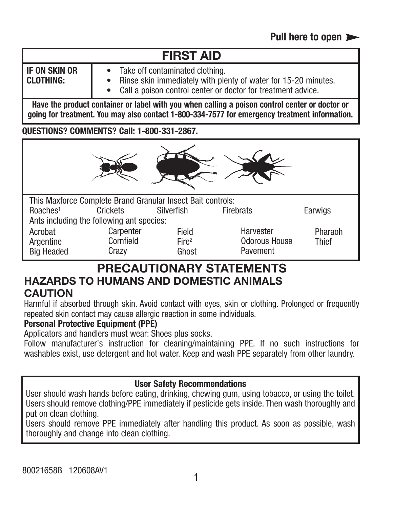# **FIRST AID**

**IF ON SKIN OR CLOTHING:**

- Take off contaminated clothing.
- Rinse skin immediately with plenty of water for 15-20 minutes.
	- Call a poison control center or doctor for treatment advice.

**Have the product container or label with you when calling a poison control center or doctor or going for treatment. You may also contact 1-800-334-7577 for emergency treatment information.**

**QUESTIONS? COMMENTS? Call: 1-800-331-2867.**



### **PRECAUTIONARY STATEMENTS HAZARDS TO HUMANS AND DOMESTIC ANIMALS CAUTION**

Harmful if absorbed through skin. Avoid contact with eyes, skin or clothing. Prolonged or frequently repeated skin contact may cause allergic reaction in some individuals.

#### **Personal Protective Equipment (PPE)**

Applicators and handlers must wear: Shoes plus socks.

Follow manufacturer's instruction for cleaning/maintaining PPE. If no such instructions for washables exist, use detergent and hot water. Keep and wash PPE separately from other laundry.

#### **User Safety Recommendations**

User should wash hands before eating, drinking, chewing gum, using tobacco, or using the toilet. Users should remove clothing/PPE immediately if pesticide gets inside. Then wash thoroughly and put on clean clothing.

Users should remove PPE immediately after handling this product. As soon as possible, wash thoroughly and change into clean clothing.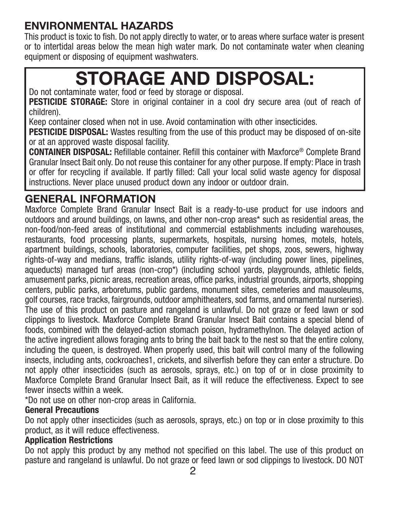### **ENVIRONMENTAL HAZARDS**

This product is toxic to fish. Do not apply directly to water, or to areas where surface water is present or to intertidal areas below the mean high water mark. Do not contaminate water when cleaning equipment or disposing of equipment washwaters.

# **STORAGE AND DISPOSAL:**

Do not contaminate water, food or feed by storage or disposal.

**PESTICIDE STORAGE:** Store in original container in a cool dry secure area (out of reach of children).

Keep container closed when not in use. Avoid contamination with other insecticides.

**PESTICIDE DISPOSAL:** Wastes resulting from the use of this product may be disposed of on-site or at an approved waste disposal facility.

**CONTAINER DISPOSAL:** Refillable container. Refill this container with Maxforce® Complete Brand Granular Insect Bait only. Do not reuse this container for any other purpose. If empty: Place in trash or offer for recycling if available. If partly filled: Call your local solid waste agency for disposal instructions. Never place unused product down any indoor or outdoor drain.

### **GENERAL INFORMATION**

Maxforce Complete Brand Granular Insect Bait is a ready-to-use product for use indoors and outdoors and around buildings, on lawns, and other non-crop areas\* such as residential areas, the non-food/non-feed areas of institutional and commercial establishments including warehouses, restaurants, food processing plants, supermarkets, hospitals, nursing homes, motels, hotels, apartment buildings, schools, laboratories, computer facilities, pet shops, zoos, sewers, highway rights-of-way and medians, traffic islands, utility rights-of-way (including power lines, pipelines, aqueducts) managed turf areas (non-crop\*) (including school yards, playgrounds, athletic fields, amusement parks, picnic areas, recreation areas, office parks, industrial grounds, airports, shopping centers, public parks, arboretums, public gardens, monument sites, cemeteries and mausoleums, golf courses, race tracks, fairgrounds, outdoor amphitheaters, sod farms, and ornamental nurseries). The use of this product on pasture and rangeland is unlawful. Do not graze or feed lawn or sod clippings to livestock. Maxforce Complete Brand Granular Insect Bait contains a special blend of foods, combined with the delayed-action stomach poison, hydramethylnon. The delayed action of the active ingredient allows foraging ants to bring the bait back to the nest so that the entire colony, including the queen, is destroyed. When properly used, this bait will control many of the following insects, including ants, cockroaches1, crickets, and silverfish before they can enter a structure. Do not apply other insecticides (such as aerosols, sprays, etc.) on top of or in close proximity to Maxforce Complete Brand Granular Insect Bait, as it will reduce the effectiveness. Expect to see fewer insects within a week.

\*Do not use on other non-crop areas in California.

### **General Precautions**

Do not apply other insecticides (such as aerosols, sprays, etc.) on top or in close proximity to this product, as it will reduce effectiveness.

### **Application Restrictions**

Do not apply this product by any method not specified on this label. The use of this product on pasture and rangeland is unlawful. Do not graze or feed lawn or sod clippings to livestock. DO NOT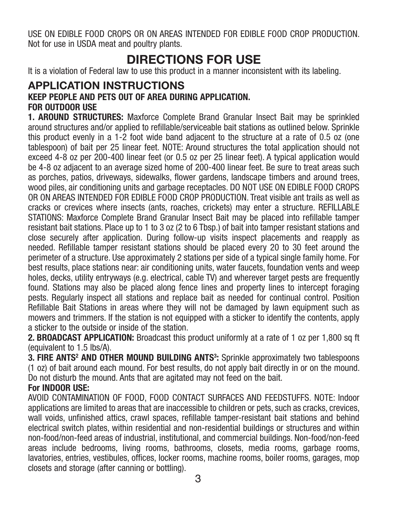USE ON EDIBLE FOOD CROPS OR ON AREAS INTENDED FOR EDIBLE FOOD CROP PRODUCTION. Not for use in USDA meat and poultry plants.

### **DIRECTIONS FOR USE**

It is a violation of Federal law to use this product in a manner inconsistent with its labeling.

#### **APPLICATION INSTRUCTIONS KEEP PEOPLE AND PETS OUT OF AREA DURING APPLICATION. FOR OUTDOOR USE**

**1. AROUND STRUCTURES:** Maxforce Complete Brand Granular Insect Bait may be sprinkled around structures and/or applied to refillable/serviceable bait stations as outlined below. Sprinkle this product evenly in a 1-2 foot wide band adjacent to the structure at a rate of 0.5 oz (one tablespoon) of bait per 25 linear feet. NOTE: Around structures the total application should not exceed 4-8 oz per 200-400 linear feet (or 0.5 oz per 25 linear feet). A typical application would be 4-8 oz adjacent to an average sized home of 200-400 linear feet. Be sure to treat areas such as porches, patios, driveways, sidewalks, flower gardens, landscape timbers and around trees, wood piles, air conditioning units and garbage receptacles. DO NOT USE ON EDIBLE FOOD CROPS OR ON AREAS INTENDED FOR EDIBLE FOOD CROP PRODUCTION. Treat visible ant trails as well as cracks or crevices where insects (ants, roaches, crickets) may enter a structure. REFILLABLE STATIONS: Maxforce Complete Brand Granular Insect Bait may be placed into refillable tamper resistant bait stations. Place up to 1 to 3 oz (2 to 6 Tbsp.) of bait into tamper resistant stations and close securely after application. During follow-up visits inspect placements and reapply as needed. Refillable tamper resistant stations should be placed every 20 to 30 feet around the perimeter of a structure. Use approximately 2 stations per side of a typical single family home. For best results, place stations near: air conditioning units, water faucets, foundation vents and weep holes, decks, utility entryways (e.g. electrical, cable TV) and wherever target pests are frequently found. Stations may also be placed along fence lines and property lines to intercept foraging pests. Regularly inspect all stations and replace bait as needed for continual control. Position Refillable Bait Stations in areas where they will not be damaged by lawn equipment such as mowers and trimmers. If the station is not equipped with a sticker to identify the contents, apply a sticker to the outside or inside of the station.

**2. BROADCAST APPLICATION:** Broadcast this product uniformly at a rate of 1 oz per 1,800 sq ft (equivalent to 1.5 lbs/A).

**3. FIRE ANTS<sup>2</sup> AND OTHER MOUND BUILDING ANTS<sup>3</sup>: Sprinkle approximately two tablespoons** (1 oz) of bait around each mound. For best results, do not apply bait directly in or on the mound. Do not disturb the mound. Ants that are agitated may not feed on the bait.

#### **For INDOOR USE:**

AVOID CONTAMINATION OF FOOD, FOOD CONTACT SURFACES AND FEEDSTUFFS. NOTE: Indoor applications are limited to areas that are inaccessible to children or pets, such as cracks, crevices, wall voids, unfinished attics, crawl spaces, refillable tamper-resistant bait stations and behind electrical switch plates, within residential and non-residential buildings or structures and within non-food/non-feed areas of industrial, institutional, and commercial buildings. Non-food/non-feed areas include bedrooms, living rooms, bathrooms, closets, media rooms, garbage rooms, lavatories, entries, vestibules, offices, locker rooms, machine rooms, boiler rooms, garages, mop closets and storage (after canning or bottling).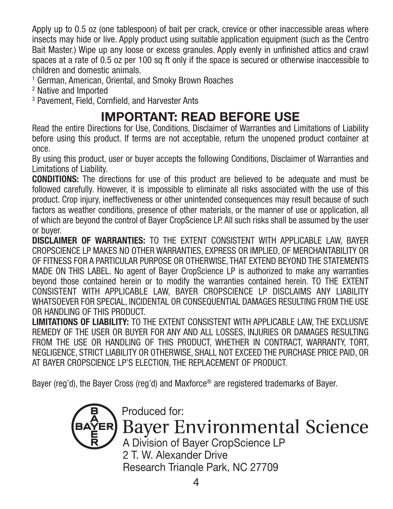Apply up to 0.5 oz (one tablespoon) of bait per crack, crevice or other inaccessible areas where insects may hide or live. Apply product using suitable application equipment (such as the Centro Bait Master.) Wipe up any loose or excess granules. Apply evenly in unfinished attics and crawl spaces at a rate of 0.5 oz per 100 sq ft only if the space is secured or otherwise inaccessible to children and domestic animals.

<sup>1</sup> German, American, Oriental, and Smoky Brown Roaches

<sup>2</sup> Native and Imported

<sup>3</sup> Pavement, Field, Cornfield, and Harvester Ants

## **IMPORTANT: READ BEFORE USE**

Read the entire Directions for Use, Conditions, Disclaimer of Warranties and Limitations of Liability before using this product. If terms are not acceptable, return the unopened product container at once.

By using this product, user or buyer accepts the following Conditions, Disclaimer of Warranties and Limitations of Liability.

**CONDITIONS:** The directions for use of this product are believed to be adequate and must be followed carefully. However, it is impossible to eliminate all risks associated with the use of this product. Crop injury, ineffectiveness or other unintended consequences may result because of such factors as weather conditions, presence of other materials, or the manner of use or application, all of which are beyond the control of Bayer CropScience LP. All such risks shall be assumed by the user or buyer.

**DISCLAIMER OF WARRANTIES:** TO THE EXTENT CONSISTENT WITH APPLICABLE LAW, BAYER CROPSCIENCE LP MAKES NO OTHER WARRANTIES, EXPRESS OR IMPLIED, OF MERCHANTABILITY OR OF FITNESS FOR A PARTICULAR PURPOSE OR OTHERWISE, THAT EXTEND BEYOND THE STATEMENTS MADE ON THIS LABEL. No agent of Bayer CropScience LP is authorized to make any warranties beyond those contained herein or to modify the warranties contained herein. TO THE EXTENT CONSISTENT WITH APPLICABLE LAW, BAYER CROPSCIENCE LP DISCLAIMS ANY LIABILITY WHATSOEVER FOR SPECIAL, INCIDENTAL OR CONSEQUENTIAL DAMAGES RESULTING FROM THE USE OR HANDLING OF THIS PRODUCT.

**LIMITATIONS OF LIABILITY:** TO THE EXTENT CONSISTENT WITH APPLICABLE LAW, THE EXCLUSIVE REMEDY OF THE USER OR BUYER FOR ANY AND ALL LOSSES, INJURIES OR DAMAGES RESULTING FROM THE USE OR HANDLING OF THIS PRODUCT, WHETHER IN CONTRACT, WARRANTY, TORT, NEGLIGENCE, STRICT LIABILITY OR OTHERWISE, SHALL NOT EXCEED THE PURCHASE PRICE PAID, OR AT BAYER CROPSCIENCE LP'S ELECTION, THE REPLACEMENT OF PRODUCT.

Bayer (reg'd), the Bayer Cross (reg'd) and Maxforce® are registered trademarks of Bayer.



# Produced for: **Bayer Environmental Science**

A Division of Bayer CropScience LP 2 T. W. Alexander Drive Research Triangle Park, NC 27709